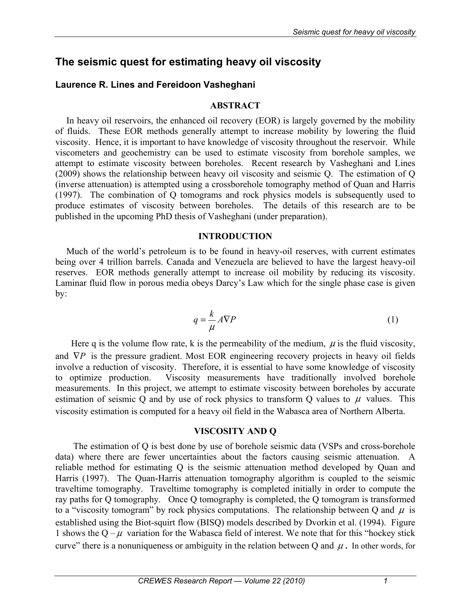# **The seismic quest for estimating heavy oil viscosity**

## **Laurence R. Lines and Fereidoon Vasheghani**

### **ABSTRACT**

In heavy oil reservoirs, the enhanced oil recovery (EOR) is largely governed by the mobility of fluids. These EOR methods generally attempt to increase mobility by lowering the fluid viscosity. Hence, it is important to have knowledge of viscosity throughout the reservoir. While viscometers and geochemistry can be used to estimate viscosity from borehole samples, we attempt to estimate viscosity between boreholes. Recent research by Vasheghani and Lines (2009) shows the relationship between heavy oil viscosity and seismic Q. The estimation of Q (inverse attenuation) is attempted using a crossborehole tomography method of Quan and Harris (1997). The combination of Q tomograms and rock physics models is subsequently used to produce estimates of viscosity between boreholes. The details of this research are to be published in the upcoming PhD thesis of Vasheghani (under preparation).

### **INTRODUCTION**

Much of the world's petroleum is to be found in heavy-oil reserves, with current estimates being over 4 trillion barrels. Canada and Venezuela are believed to have the largest heavy-oil reserves. EOR methods generally attempt to increase oil mobility by reducing its viscosity. Laminar fluid flow in porous media obeys Darcy's Law which for the single phase case is given by:

$$
q = \frac{k}{\mu} A \nabla P \tag{1}
$$

Here q is the volume flow rate, k is the permeability of the medium,  $\mu$  is the fluid viscosity, and  $∇P$  is the pressure gradient. Most EOR engineering recovery projects in heavy oil fields involve a reduction of viscosity. Therefore, it is essential to have some knowledge of viscosity to optimize production. Viscosity measurements have traditionally involved borehole measurements. In this project, we attempt to estimate viscosity between boreholes by accurate estimation of seismic Q and by use of rock physics to transform Q values to  $\mu$  values. This viscosity estimation is computed for a heavy oil field in the Wabasca area of Northern Alberta.

### **VISCOSITY AND Q**

 The estimation of Q is best done by use of borehole seismic data (VSPs and cross-borehole data) where there are fewer uncertainties about the factors causing seismic attenuation. A reliable method for estimating Q is the seismic attenuation method developed by Quan and Harris (1997). The Quan-Harris attenuation tomography algorithm is coupled to the seismic traveltime tomography. Traveltime tomography is completed initially in order to compute the ray paths for Q tomography. Once Q tomography is completed, the Q tomogram is transformed to a "viscosity tomogram" by rock physics computations. The relationship between Q and  $\mu$  is established using the Biot-squirt flow (BISQ) models described by Dvorkin et al. (1994). Figure 1 shows the  $Q - \mu$  variation for the Wabasca field of interest. We note that for this "hockey stick" curve" there is a nonuniqueness or ambiguity in the relation between Q and  $\mu$ . In other words, for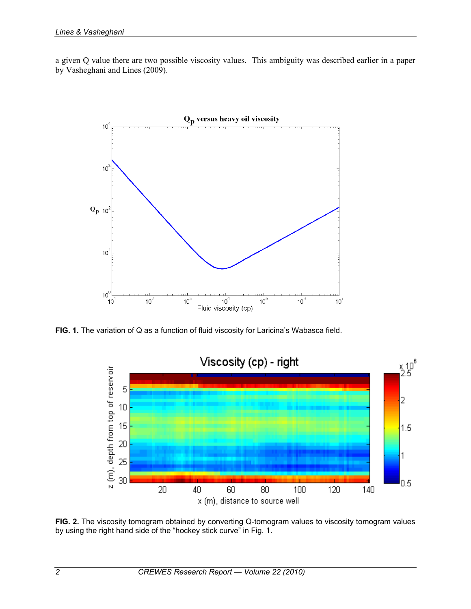a given Q value there are two possible viscosity values. This ambiguity was described earlier in a paper by Vasheghani and Lines (2009).



FIG. 1. The variation of Q as a function of fluid viscosity for Laricina's Wabasca field.



**FIG. 2.** The viscosity tomogram obtained by converting Q-tomogram values to viscosity tomogram values by using the right hand side of the "hockey stick curve" in Fig. 1.